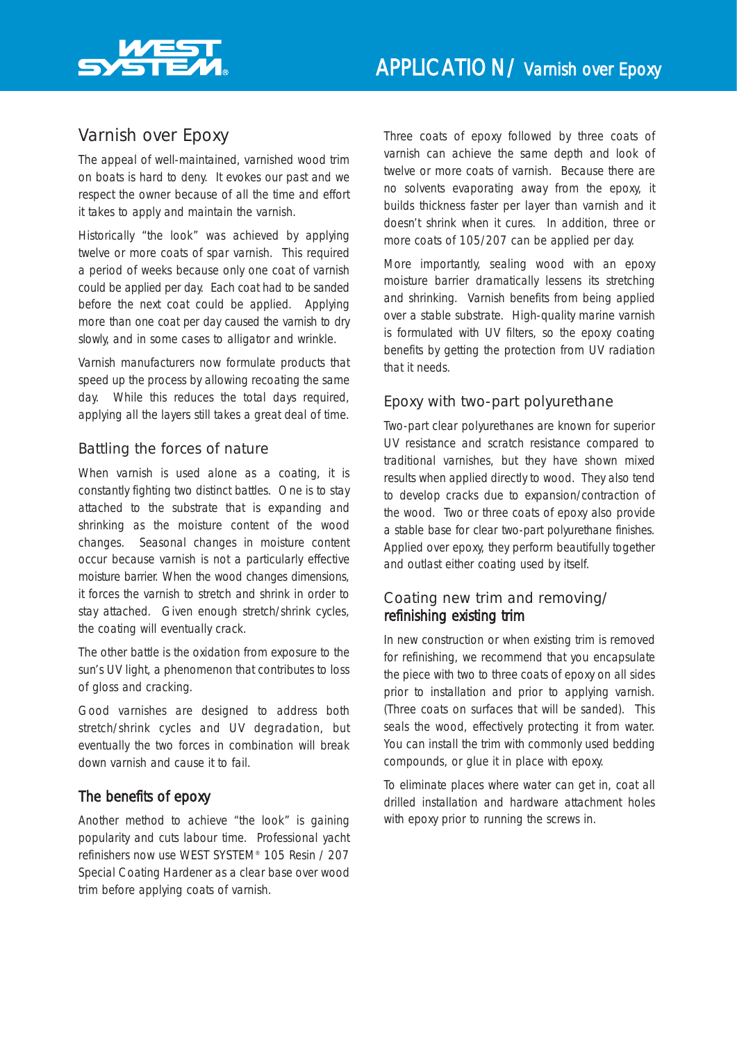

# Varnish over Epoxy

The appeal of well-maintained, varnished wood trim on boats is hard to deny. It evokes our past and we respect the owner because of all the time and effort it takes to apply and maintain the varnish.

Historically "the look" was achieved by applying twelve or more coats of spar varnish. This required a period of weeks because only one coat of varnish could be applied per day. Each coat had to be sanded before the next coat could be applied. Applying more than one coat per day caused the varnish to dry slowly, and in some cases to alligator and wrinkle.

Varnish manufacturers now formulate products that speed up the process by allowing recoating the same day. While this reduces the total days required, applying all the layers still takes a great deal of time.

## Battling the forces of nature

When varnish is used alone as a coating, it is constantly fighting two distinct battles. One is to stay attached to the substrate that is expanding and shrinking as the moisture content of the wood changes. Seasonal changes in moisture content occur because varnish is not a particularly effective moisture barrier. When the wood changes dimensions, it forces the varnish to stretch and shrink in order to stay attached. Given enough stretch/shrink cycles, the coating will eventually crack.

The other battle is the oxidation from exposure to the sun's UV light, a phenomenon that contributes to loss of gloss and cracking.

Good varnishes are designed to address both stretch/shrink cycles and UV degradation, but eventually the two forces in combination will break down varnish and cause it to fail.

## The benefits of epoxy

Another method to achieve "the look" is gaining popularity and cuts labour time. Professional yacht refinishers now use WEST SYSTEM® 105 Resin / 207 Special Coating Hardener as a clear base over wood trim before applying coats of varnish.

Three coats of epoxy followed by three coats of varnish can achieve the same depth and look of twelve or more coats of varnish. Because there are no solvents evaporating away from the epoxy, it builds thickness faster per layer than varnish and it doesn't shrink when it cures. In addition, three or more coats of 105/207 can be applied per day.

More importantly, sealing wood with an epoxy moisture barrier dramatically lessens its stretching and shrinking. Varnish benefits from being applied over a stable substrate. High-quality marine varnish is formulated with UV filters, so the epoxy coating benefits by getting the protection from UV radiation that it needs.

## Epoxy with two-part polyurethane

Two-part clear polyurethanes are known for superior UV resistance and scratch resistance compared to traditional varnishes, but they have shown mixed results when applied directly to wood. They also tend to develop cracks due to expansion/contraction of the wood. Two or three coats of epoxy also provide a stable base for clear two-part polyurethane finishes. Applied over epoxy, they perform beautifully together and outlast either coating used by itself.

## Coating new trim and removing/ refinishing existing trim

In new construction or when existing trim is removed for refinishing, we recommend that you encapsulate the piece with two to three coats of epoxy on all sides prior to installation and prior to applying varnish. (Three coats on surfaces that will be sanded). This seals the wood, effectively protecting it from water. You can install the trim with commonly used bedding compounds, or glue it in place with epoxy.

To eliminate places where water can get in, coat all drilled installation and hardware attachment holes with epoxy prior to running the screws in.